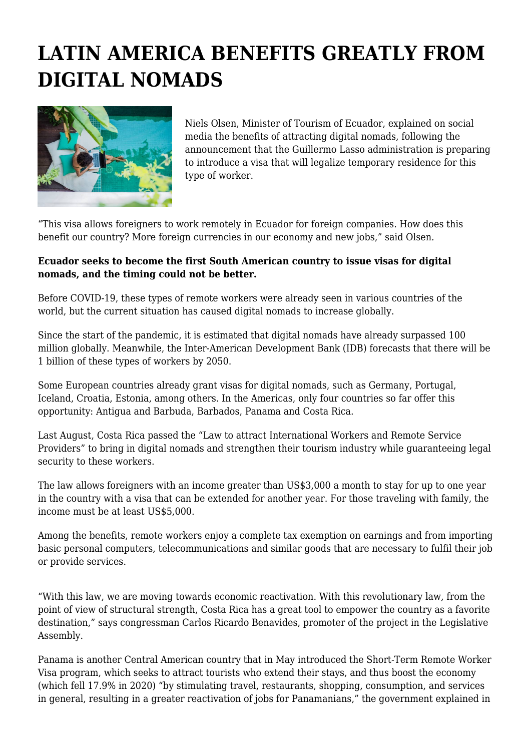## **LATIN AMERICA BENEFITS GREATLY FROM DIGITAL NOMADS**



Niels Olsen, Minister of Tourism of Ecuador, explained on social media the benefits of attracting digital nomads, following the announcement that the Guillermo Lasso administration is preparing to introduce a visa that will legalize temporary residence for this type of worker.

"This visa allows foreigners to work remotely in Ecuador for foreign companies. How does this benefit our country? More foreign currencies in our economy and new jobs," said Olsen.

## **Ecuador seeks to become the first South American country to issue visas for digital nomads, and the timing could not be better.**

Before COVID-19, these types of remote workers were already seen in various countries of the world, but the current situation has caused digital nomads to increase globally.

Since the start of the pandemic, it is estimated that digital nomads have already surpassed 100 million globally. Meanwhile, the Inter-American Development Bank (IDB) forecasts that there will be 1 billion of these types of workers by 2050.

Some European countries already grant visas for digital nomads, such as Germany, Portugal, Iceland, Croatia, Estonia, among others. In the Americas, only four countries so far offer this opportunity: Antigua and Barbuda, Barbados, Panama and Costa Rica.

Last August, Costa Rica passed the "Law to attract International Workers and Remote Service Providers" to bring in digital nomads and strengthen their tourism industry while guaranteeing legal security to these workers.

The law allows foreigners with an income greater than US\$3,000 a month to stay for up to one year in the country with a visa that can be extended for another year. For those traveling with family, the income must be at least US\$5,000.

Among the benefits, remote workers enjoy a complete tax exemption on earnings and from importing basic personal computers, telecommunications and similar goods that are necessary to fulfil their job or provide services.

"With this law, we are moving towards economic reactivation. With this revolutionary law, from the point of view of structural strength, Costa Rica has a great tool to empower the country as a favorite destination," says congressman Carlos Ricardo Benavides, promoter of the project in the Legislative Assembly.

Panama is another Central American country that in May introduced the Short-Term Remote Worker Visa program, which seeks to attract tourists who extend their stays, and thus boost the economy (which fell 17.9% in 2020) "by stimulating travel, restaurants, shopping, consumption, and services in general, resulting in a greater reactivation of jobs for Panamanians," the government explained in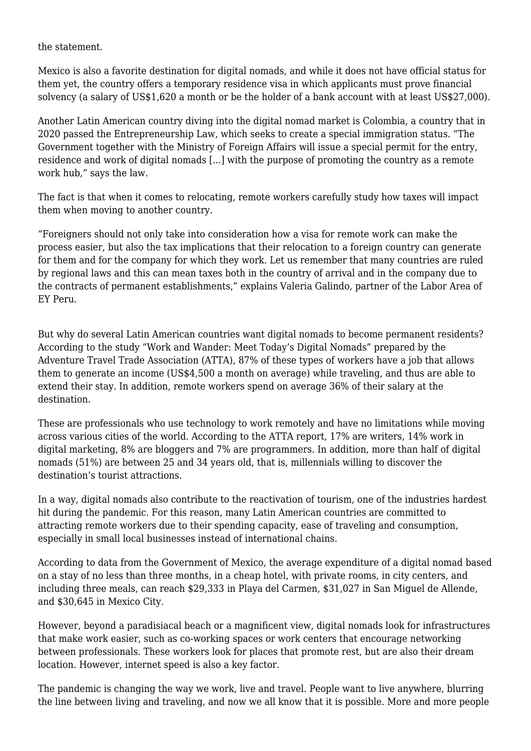the statement.

Mexico is also a favorite destination for digital nomads, and while it does not have official status for them yet, the country offers a temporary residence visa in which applicants must prove financial solvency (a salary of US\$1,620 a month or be the holder of a bank account with at least US\$27,000).

Another Latin American country diving into the digital nomad market is Colombia, a country that in 2020 passed the Entrepreneurship Law, which seeks to create a special immigration status. "The Government together with the Ministry of Foreign Affairs will issue a special permit for the entry, residence and work of digital nomads [...] with the purpose of promoting the country as a remote work hub," says the law.

The fact is that when it comes to relocating, remote workers carefully study how taxes will impact them when moving to another country.

"Foreigners should not only take into consideration how a visa for remote work can make the process easier, but also the tax implications that their relocation to a foreign country can generate for them and for the company for which they work. Let us remember that many countries are ruled by regional laws and this can mean taxes both in the country of arrival and in the company due to the contracts of permanent establishments," explains Valeria Galindo, partner of the Labor Area of EY Peru.

But why do several Latin American countries want digital nomads to become permanent residents? According to the study "Work and Wander: Meet Today's Digital Nomads" prepared by the Adventure Travel Trade Association (ATTA), 87% of these types of workers have a job that allows them to generate an income (US\$4,500 a month on average) while traveling, and thus are able to extend their stay. In addition, remote workers spend on average 36% of their salary at the destination.

These are professionals who use technology to work remotely and have no limitations while moving across various cities of the world. According to the ATTA report, 17% are writers, 14% work in digital marketing, 8% are bloggers and 7% are programmers. In addition, more than half of digital nomads (51%) are between 25 and 34 years old, that is, millennials willing to discover the destination's tourist attractions.

In a way, digital nomads also contribute to the reactivation of tourism, one of the industries hardest hit during the pandemic. For this reason, many Latin American countries are committed to attracting remote workers due to their spending capacity, ease of traveling and consumption, especially in small local businesses instead of international chains.

According to data from the Government of Mexico, the average expenditure of a digital nomad based on a stay of no less than three months, in a cheap hotel, with private rooms, in city centers, and including three meals, can reach \$29,333 in Playa del Carmen, \$31,027 in San Miguel de Allende, and \$30,645 in Mexico City.

However, beyond a paradisiacal beach or a magnificent view, digital nomads look for infrastructures that make work easier, such as co-working spaces or work centers that encourage networking between professionals. These workers look for places that promote rest, but are also their dream location. However, internet speed is also a key factor.

The pandemic is changing the way we work, live and travel. People want to live anywhere, blurring the line between living and traveling, and now we all know that it is possible. More and more people